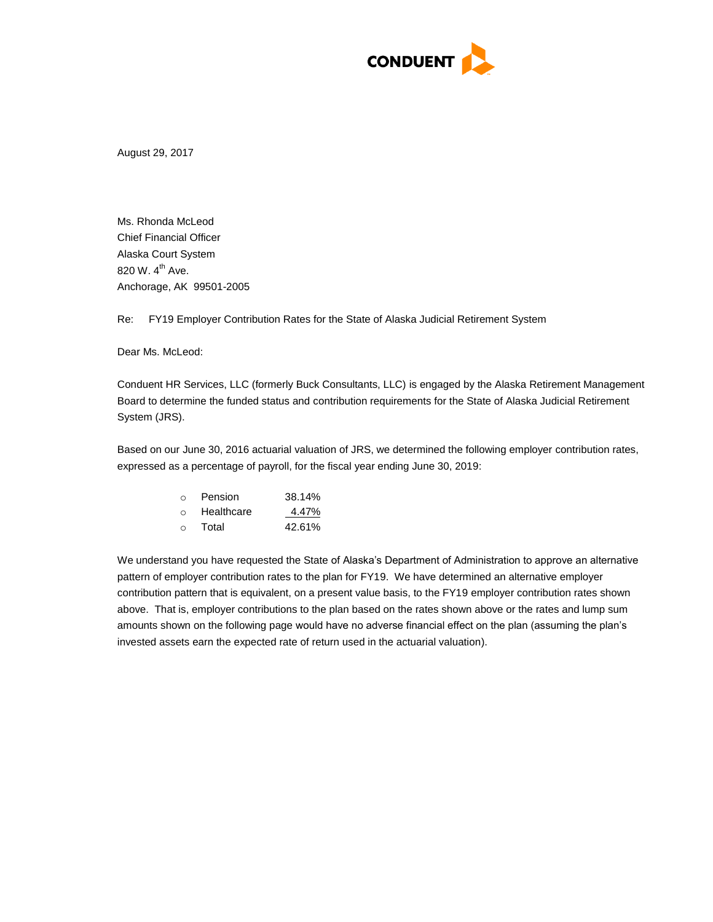

August 29, 2017

Ms. Rhonda McLeod Chief Financial Officer Alaska Court System 820 W. 4<sup>th</sup> Ave. Anchorage, AK 99501-2005

Re: FY19 Employer Contribution Rates for the State of Alaska Judicial Retirement System

Dear Ms. McLeod:

Conduent HR Services, LLC (formerly Buck Consultants, LLC) is engaged by the Alaska Retirement Management Board to determine the funded status and contribution requirements for the State of Alaska Judicial Retirement System (JRS).

Based on our June 30, 2016 actuarial valuation of JRS, we determined the following employer contribution rates, expressed as a percentage of payroll, for the fiscal year ending June 30, 2019:

| $\cap$ | Pension    | 38.14% |
|--------|------------|--------|
| $\cap$ | Healthcare | 4.47%  |
| $\cap$ | Total      | 42.61% |

We understand you have requested the State of Alaska's Department of Administration to approve an alternative pattern of employer contribution rates to the plan for FY19. We have determined an alternative employer contribution pattern that is equivalent, on a present value basis, to the FY19 employer contribution rates shown above. That is, employer contributions to the plan based on the rates shown above or the rates and lump sum amounts shown on the following page would have no adverse financial effect on the plan (assuming the plan's invested assets earn the expected rate of return used in the actuarial valuation).